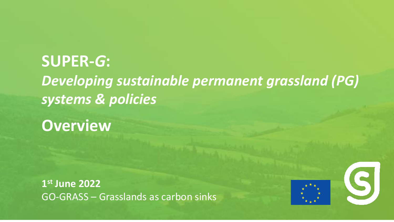## **SUPER-***G***:** *Developing sustainable permanent grassland (PG) systems & policies*

**Overview**

**1 st June 2022** GO-GRASS – Grasslands as carbon sinks



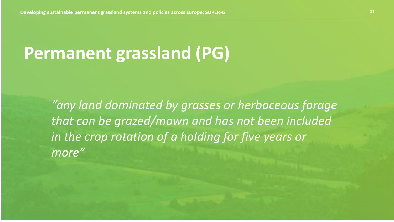# **Permanent grassland (PG)**

*"any land dominated by grasses or herbaceous forage that can be grazed/mown and has not been included in the crop rotation of a holding for five years or more"*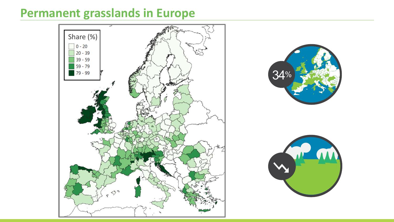## **Permanent grasslands in Europe**





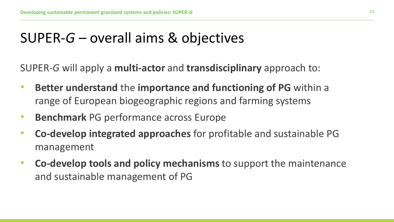## SUPER-*G* – overall aims & objectives

SUPER-*G* will apply a **multi-actor** and **transdisciplinary** approach to:

- **Better understand** the **importance and functioning of PG** within a range of European biogeographic regions and farming systems
- **Benchmark** PG performance across Europe
- **Co-develop integrated approaches** for profitable and sustainable PG management
- **Co-develop tools and policy mechanisms** to support the maintenance and sustainable management of PG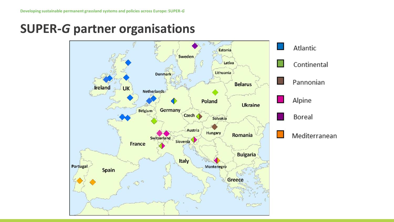**SUPER-***G* **partner organisations**

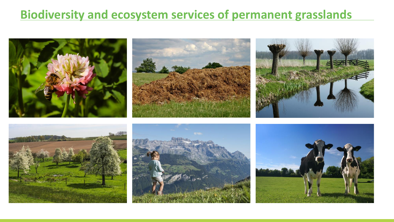## **Biodiversity and ecosystem services of permanent grasslands**

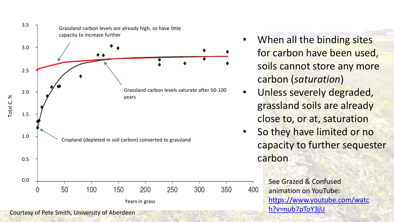

- When all the binding sites for carbon have been used, soils cannot store any more carbon (*saturation*)
- Unless severely degraded, grassland soils are already close to, or at, saturation
- So they have limited or no capacity to further sequester carbon

See Grazed & Confused animation on YouTube: [https://www.youtube.com/watc](https://www.youtube.com/watch?v=nub7pToY3jU)

400